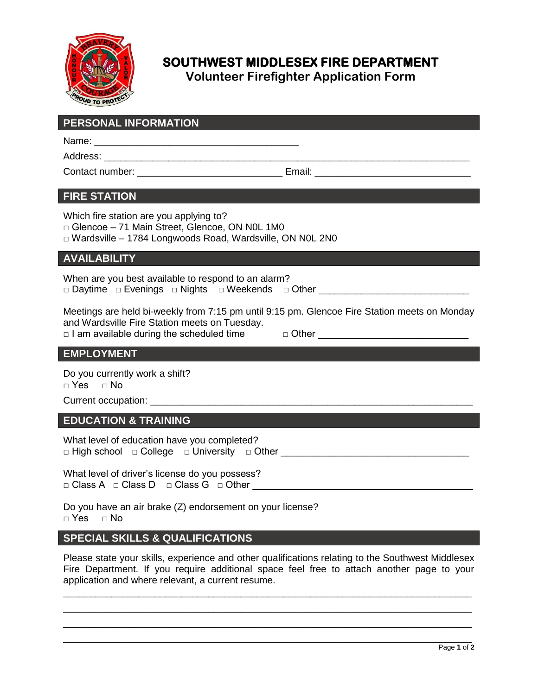

# **SOUTHWEST MIDDLESEX FIRE DEPARTMENT**

**Volunteer Firefighter Application Form**

| <b>PERSONAL INFORMATION</b>                                                                                                                            |
|--------------------------------------------------------------------------------------------------------------------------------------------------------|
|                                                                                                                                                        |
|                                                                                                                                                        |
|                                                                                                                                                        |
| <b>FIRE STATION</b>                                                                                                                                    |
| Which fire station are you applying to?<br>Glencoe - 71 Main Street, Glencoe, ON NOL 1M0<br>□ Wardsville - 1784 Longwoods Road, Wardsville, ON N0L 2N0 |
| <b>AVAILABILITY</b>                                                                                                                                    |
| When are you best available to respond to an alarm?<br>□ Daytime □ Evenings □ Nights □ Weekends □ Other ______________________________                 |
| Meetings are held bi-weekly from 7:15 pm until 9:15 pm. Glencoe Fire Station meets on Monday<br>and Wardsville Fire Station meets on Tuesday.          |
| <b>EMPLOYMENT</b>                                                                                                                                      |
| Do you currently work a shift?<br>$\Box$ Yes $\Box$ No                                                                                                 |
|                                                                                                                                                        |
| <b>EDUCATION &amp; TRAINING</b>                                                                                                                        |
| What level of education have you completed?<br>□ High school □ College □ University □ Other __________________________________                         |
| What level of driver's license do you possess?                                                                                                         |
| Do you have an air brake (Z) endorsement on your license?                                                                                              |

 $\neg$  Yes  $\neg$  No

### **SPECIAL SKILLS & QUALIFICATIONS**

Please state your skills, experience and other qualifications relating to the Southwest Middlesex Fire Department. If you require additional space feel free to attach another page to your application and where relevant, a current resume.

\_\_\_\_\_\_\_\_\_\_\_\_\_\_\_\_\_\_\_\_\_\_\_\_\_\_\_\_\_\_\_\_\_\_\_\_\_\_\_\_\_\_\_\_\_\_\_\_\_\_\_\_\_\_\_\_\_\_\_\_\_\_\_\_\_\_\_\_\_\_\_\_\_\_\_\_ \_\_\_\_\_\_\_\_\_\_\_\_\_\_\_\_\_\_\_\_\_\_\_\_\_\_\_\_\_\_\_\_\_\_\_\_\_\_\_\_\_\_\_\_\_\_\_\_\_\_\_\_\_\_\_\_\_\_\_\_\_\_\_\_\_\_\_\_\_\_\_\_\_\_\_\_ \_\_\_\_\_\_\_\_\_\_\_\_\_\_\_\_\_\_\_\_\_\_\_\_\_\_\_\_\_\_\_\_\_\_\_\_\_\_\_\_\_\_\_\_\_\_\_\_\_\_\_\_\_\_\_\_\_\_\_\_\_\_\_\_\_\_\_\_\_\_\_\_\_\_\_\_ \_\_\_\_\_\_\_\_\_\_\_\_\_\_\_\_\_\_\_\_\_\_\_\_\_\_\_\_\_\_\_\_\_\_\_\_\_\_\_\_\_\_\_\_\_\_\_\_\_\_\_\_\_\_\_\_\_\_\_\_\_\_\_\_\_\_\_\_\_\_\_\_\_\_\_\_